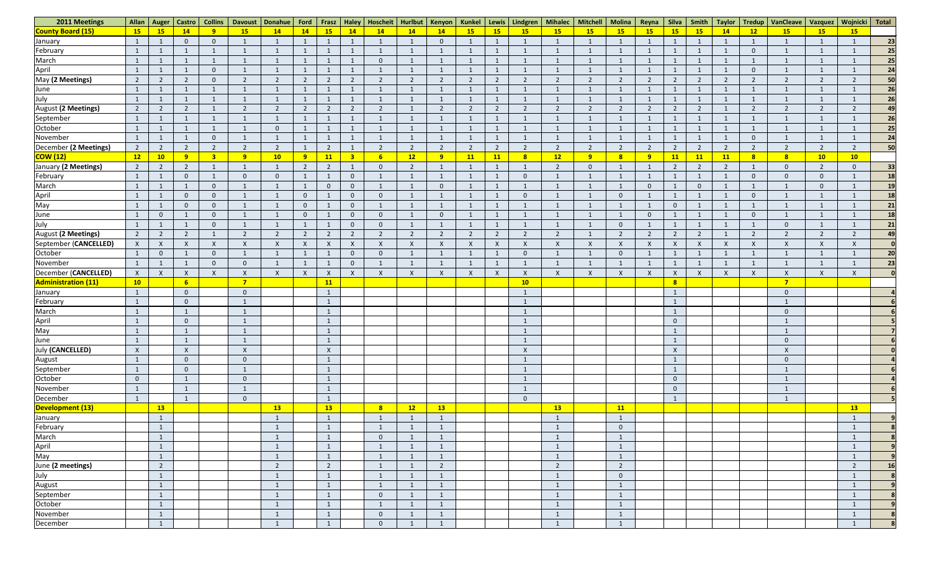| 2011 Meetings                             |                | Allan   Auger  | <b>Castro</b>  | <b>Collins</b> | <b>Davoust</b> | Donahue                   | Ford             | Frasz                     | <b>Haley</b>              | Hoscheit       | Hurlbut        | Kenyon         | Kunkel        | Lewis          | Lindgren                  | <b>Mihalec</b>            | <b>Mitchell</b>           | Molina        | Reyna            | Silva                   | Smith     | <b>Taylor</b>  | <b>Tredup</b>             | VanCleave   Vazquez       |                | Wojnicki                  | Total        |
|-------------------------------------------|----------------|----------------|----------------|----------------|----------------|---------------------------|------------------|---------------------------|---------------------------|----------------|----------------|----------------|---------------|----------------|---------------------------|---------------------------|---------------------------|---------------|------------------|-------------------------|-----------|----------------|---------------------------|---------------------------|----------------|---------------------------|--------------|
| County Board (15)                         | 15             | 15             | 14             | 9              | 15             | 14                        | 14               | 15                        | 14                        | 14             | 14             | 14             | 15            | 15             | <b>15</b>                 | 15                        | 15                        | 15            | 15               | <b>15</b>               | 15        | 14             | 12                        | 15                        | 15             | 15                        |              |
| January                                   |                |                | $\mathbf 0$    | $\Omega$       | $\mathbf{1}$   |                           |                  |                           |                           |                |                | $\overline{0}$ |               |                |                           |                           | $\mathbf{1}$              |               |                  |                         |           |                |                           |                           | $\mathbf{1}$   |                           | 23           |
| February                                  |                |                | $\mathbf{1}$   |                | $\mathbf{1}$   |                           | -1               | $\mathbf{1}$              |                           |                |                | $\mathbf{1}$   |               | $\mathbf{1}$   |                           |                           | $\mathbf{1}$              |               |                  |                         |           |                | $\overline{0}$            |                           | $\mathbf{1}$   |                           | 25           |
| March                                     |                |                |                |                | $\mathbf{1}$   |                           |                  |                           |                           | $\overline{0}$ |                | $\mathbf{1}$   |               | $\mathbf{1}$   |                           |                           | $\mathbf{1}$              |               |                  |                         |           |                |                           |                           | $\mathbf{1}$   |                           | 25           |
| April                                     |                |                |                | $\Omega$       | $\mathbf 1$    |                           |                  |                           |                           |                |                |                |               |                |                           |                           | $\mathbf{1}$              |               |                  |                         |           |                | $\overline{0}$            |                           | $\mathbf{1}$   |                           | 24           |
| May (2 Meetings)                          | $\overline{2}$ | $\overline{2}$ | $\overline{2}$ |                | $\overline{2}$ | $\overline{2}$            | $\overline{2}$   | $\overline{2}$            | $\overline{2}$            | $\overline{2}$ | $\overline{2}$ | $\overline{2}$ | 2             | $\overline{2}$ | - 2                       | $\mathcal{D}$             | $\overline{2}$            | $\mathcal{D}$ | $\overline{2}$   | 2                       | <u>າ</u>  | $\overline{2}$ | $\overline{2}$            | $\overline{2}$            | $\overline{2}$ | $\mathcal{D}$             | 50           |
|                                           |                |                |                |                | $\mathbf{1}$   |                           |                  |                           |                           |                |                |                |               |                |                           |                           | $\mathbf{1}$              |               |                  |                         |           |                |                           |                           | $\mathbf{1}$   |                           | 26           |
| June<br>July                              |                |                |                |                |                |                           |                  |                           |                           |                |                |                |               |                |                           |                           |                           |               |                  |                         |           |                |                           |                           | $\mathbf{1}$   |                           | 26           |
| <b>August (2 Meetings)</b>                | $\overline{2}$ | $\overline{2}$ | $\overline{2}$ |                | $\overline{2}$ | $\mathcal{L}$             | $\overline{2}$   | $\overline{2}$            | $\overline{2}$            | $\overline{2}$ |                | $\overline{2}$ |               | $\overline{2}$ | $\overline{2}$            | $\overline{2}$            | $\overline{2}$            | $\mathcal{D}$ | $\overline{2}$   | $\overline{2}$          |           |                | $\overline{2}$            | $\overline{2}$            | $\overline{2}$ | $\mathcal{D}$             | 49           |
| September                                 |                |                |                |                |                |                           |                  |                           |                           |                |                |                |               |                |                           |                           |                           |               |                  |                         |           |                |                           |                           | $\mathbf{1}$   |                           | 26           |
| October                                   |                |                |                |                | -1             | $\Omega$                  |                  |                           |                           |                |                |                |               | 1              |                           |                           | $\mathbf 1$               |               |                  |                         |           |                |                           |                           | $\mathbf 1$    |                           | 25           |
| November                                  |                |                |                |                | $\mathbf 1$    |                           |                  |                           |                           |                |                |                |               |                |                           |                           |                           |               |                  |                         |           |                | $\Omega$                  |                           | $\overline{1}$ |                           | 24           |
| December (2 Meetings)                     | $\overline{2}$ | $2^{\circ}$    | $\overline{2}$ | ົາ             | $\overline{2}$ | $\overline{2}$            | - 1              | $\overline{2}$            |                           | $\overline{2}$ | $\overline{2}$ | $\overline{2}$ | $\mathcal{D}$ | $2^{\circ}$    | $\overline{2}$            | $\overline{2}$            | $\overline{2}$            | $\mathcal{L}$ | $\overline{2}$   | $\overline{2}$          |           | $\overline{2}$ | $\overline{2}$            | $\overline{2}$            | $\overline{2}$ | $\overline{2}$            | 50           |
| <b>COW (12)</b>                           | 12             | 10             | 9 <sup>°</sup> |                | 9              | 10                        | $\overline{9}$   | <b>11</b>                 | $\overline{\mathbf{3}}$   | 6 <sup>1</sup> | 12             | 9              | 11            | 11             | $\overline{\mathbf{8}}$   | 12                        | 9                         | $\mathbf{Q}$  | 9                | <b>11</b>               | <b>11</b> | 11             | 8                         | 8                         | 10             | 10                        |              |
| January (2 Meetings)                      | $\overline{2}$ | $\overline{2}$ | $\overline{2}$ |                | $\overline{1}$ |                           | $\overline{2}$   | $\overline{2}$            |                           | $\overline{0}$ | $\mathcal{D}$  | $\mathbf{1}$   |               | 1              |                           | $\overline{2}$            | $\overline{0}$            |               |                  | $\overline{2}$          |           | $\overline{2}$ |                           | $\overline{0}$            | $\overline{2}$ | $\overline{0}$            | 33           |
| February                                  |                |                | $\overline{0}$ |                | $\mathbf{0}$   | $\Omega$                  |                  |                           | $\Omega$                  |                |                |                |               |                | $\overline{0}$            |                           |                           |               |                  |                         |           |                | $\Omega$                  | $\Omega$                  | $\mathbf{0}$   |                           | <b>18</b>    |
| March                                     |                |                | 1              |                | $\mathbf{1}$   |                           | -1               | $\overline{0}$            | $\overline{0}$            | -1             |                | $\overline{0}$ |               | $\mathbf{1}$   |                           |                           | $\mathbf{1}$              |               | $\overline{0}$   |                         | $\theta$  |                |                           |                           | $\mathbf{0}$   |                           | 19           |
| April                                     |                |                | $\overline{0}$ | $\Omega$       | $\mathbf{1}$   |                           | $\mathbf 0$      |                           | $\overline{0}$            | $\overline{0}$ |                | $\mathbf{1}$   |               | 1              | $\overline{0}$            |                           | $\mathbf 1$               |               |                  |                         |           |                | $\overline{0}$            |                           | $\mathbf{1}$   |                           | <b>18</b>    |
| May                                       |                |                | $\overline{0}$ | $\Omega$       | $\mathbf{1}$   |                           | $\mathbf 0$      |                           | $\overline{0}$            |                |                | $\mathbf 1$    |               |                |                           |                           |                           |               |                  | $\overline{0}$          |           |                |                           |                           | $\mathbf{1}$   |                           | 21           |
| June                                      |                | $\Omega$       | $\mathbf{1}$   | $\Omega$       | $\mathbf{1}$   |                           | $\mathbf 0$      |                           | $\Omega$                  | $\overline{0}$ |                | $\overline{0}$ |               | 1              |                           |                           | $\mathbf{1}$              |               | $\overline{0}$   |                         |           |                | $\overline{0}$            |                           | $\mathbf{1}$   |                           | <b>18</b>    |
| July                                      |                |                |                |                | $\mathbf{1}$   |                           | - 1              |                           | $\Omega$                  | $\overline{0}$ |                | $\mathbf{1}$   |               |                |                           |                           | $\mathbf{1}$              | $\Omega$      |                  |                         |           |                |                           | $\overline{0}$            | $\overline{1}$ |                           | 21           |
| August (2 Meetings)                       | $\overline{2}$ | $\overline{2}$ | $\overline{2}$ |                | $\overline{2}$ | $\mathcal{L}$             | $\overline{2}$   | $\overline{2}$            | $\overline{2}$            | $\overline{2}$ | $\overline{z}$ | $\overline{2}$ | $\mathcal{D}$ | $\overline{2}$ | $\overline{\phantom{a}}$  | $\mathcal{D}$             |                           | <u>າ</u>      | $\overline{2}$   | $\overline{2}$          |           |                | $\overline{2}$            | $\mathcal{D}$             | $\overline{2}$ | $\mathcal{D}$             | 49           |
| September (CANCELLED)                     | $\mathsf{X}$   | $\mathsf{X}$   | X              |                | $\mathsf{X}$   | $\boldsymbol{\mathsf{X}}$ | $\mathsf{X}$     | $\boldsymbol{\mathsf{X}}$ | $\boldsymbol{\mathsf{X}}$ | $\mathsf{X}$   | Χ              | $\mathsf{X}$   |               | $\mathsf{X}$   | $\mathsf{X}$              |                           | $\boldsymbol{\mathsf{X}}$ |               | $\mathsf{X}$     | $\mathsf{X}$            |           | Χ              | $\boldsymbol{\mathsf{X}}$ | X                         | $\mathsf{X}$   |                           |              |
| October                                   |                | $\Omega$       |                | $\Omega$       | $\mathbf{1}$   |                           |                  |                           | $\Omega$                  | $\overline{0}$ |                |                |               |                | $\overline{0}$            |                           |                           |               |                  |                         |           |                |                           |                           | -1             |                           | 20           |
| November                                  | $\overline{1}$ | $\mathbf{1}$   | $\mathbf 1$    |                | $\mathbf{0}$   |                           | $\mathbf{1}$     |                           | $\Omega$                  |                |                | $\mathbf 1$    |               | 1              |                           |                           | $\mathbf{1}$              |               | $\mathbf{1}$     |                         |           |                | -1                        |                           | $\mathbf{1}$   |                           | 23           |
| December (CANCELLED)                      | $\mathsf{X}$   | $\mathsf{X}$   | $\mathsf{X}$   |                | $\mathsf{X}$   | $\boldsymbol{\mathsf{X}}$ | $\boldsymbol{X}$ | $\mathsf{X}$              | $\mathsf{X}$              | $\mathsf{X}$   | $\times$       | $\mathsf{X}$   |               | $\mathsf{X}$   | $\boldsymbol{\mathsf{X}}$ | $\boldsymbol{\mathsf{X}}$ | $\mathsf{X}$              |               | $\boldsymbol{X}$ | $\boldsymbol{X}$        | X         | $\mathsf{X}$   | $\mathsf{X}$              | X                         | $\mathsf{X}$   | $\boldsymbol{\mathsf{X}}$ |              |
| <b>Administration (11)</b>                | 10             |                | 6 <sup>1</sup> |                | 7 <sup>2</sup> |                           |                  | <b>11</b>                 |                           |                |                |                |               |                | 10                        |                           |                           |               |                  | $\overline{\mathbf{8}}$ |           |                |                           | $\overline{7}$            |                |                           |              |
| January                                   |                |                | $\overline{0}$ |                | $\mathbf{0}$   |                           |                  |                           |                           |                |                |                |               |                |                           |                           |                           |               |                  | 1                       |           |                |                           | $\pmb{0}$                 |                |                           |              |
| February                                  |                |                | $\overline{0}$ |                | $\mathbf{1}$   |                           |                  |                           |                           |                |                |                |               |                | $\mathbf{1}$              |                           |                           |               |                  | $\mathbf{1}$            |           |                |                           |                           |                |                           |              |
|                                           | 1              |                |                |                | $\lceil$       |                           |                  |                           |                           |                |                |                |               |                |                           |                           |                           |               |                  | 1                       |           |                |                           | $\overline{0}$            |                |                           |              |
| March<br>April<br>May                     | $\mathbf{1}$   |                | $\overline{0}$ |                | $\mathbf{1}$   |                           |                  | $\mathbf{1}$              |                           |                |                |                |               |                |                           |                           |                           |               |                  | $\overline{0}$          |           |                |                           |                           |                |                           |              |
|                                           | $\mathbf{1}$   |                | $\mathbf{1}$   |                | $\mathbf{1}$   |                           |                  | $\mathbf{1}$              |                           |                |                |                |               |                |                           |                           |                           |               |                  |                         |           |                |                           |                           |                |                           |              |
| June<br>July (CANCELLED)                  | $\mathbf{1}$   |                | $\mathbf{1}$   |                | $\mathbf{1}$   |                           |                  |                           |                           |                |                |                |               |                |                           |                           |                           |               |                  |                         |           |                |                           | $\mathbf 0$               |                |                           |              |
|                                           | $\mathsf{X}$   |                | $\mathsf{X}$   |                | $\mathsf{X}$   |                           |                  | $\mathsf{X}$              |                           |                |                |                |               |                | $\mathsf{X}$              |                           |                           |               |                  | $\mathsf{X}$            |           |                |                           | $\boldsymbol{\mathsf{X}}$ |                |                           |              |
| August<br>September                       | $\mathbf{1}$   |                | $\overline{0}$ |                | $\overline{0}$ |                           |                  | $\mathbf{1}$              |                           |                |                |                |               |                |                           |                           |                           |               |                  | 1                       |           |                |                           | $\mathbf{0}$              |                |                           |              |
|                                           | $\mathbf{1}$   |                | $\overline{0}$ |                | $\mathbf{1}$   |                           |                  |                           |                           |                |                |                |               |                |                           |                           |                           |               |                  |                         |           |                |                           |                           |                |                           |              |
| October                                   | $\overline{0}$ |                | $\mathbf{1}$   |                | $\overline{0}$ |                           |                  | $\mathbf{1}$              |                           |                |                |                |               |                | $\overline{1}$            |                           |                           |               |                  | $\overline{0}$          |           |                |                           | $\mathbf{1}$              |                |                           |              |
| November                                  | $\mathbf{1}$   |                | $\mathbf{1}$   |                | $\mathbf{1}$   |                           |                  | $\mathbf{1}$              |                           |                |                |                |               |                |                           |                           |                           |               |                  | $\overline{0}$          |           |                |                           |                           |                |                           |              |
| December                                  | $\mathbf{1}$   |                | $\mathbf{1}$   |                | $\overline{0}$ |                           |                  | $\mathbf{1}$              |                           |                |                |                |               |                | $\overline{0}$            |                           |                           |               |                  | $\mathbf{1}$            |           |                |                           |                           |                |                           |              |
| Development (13)                          |                | 13             |                |                |                | 13                        |                  | 13                        |                           | 8              | 12             | 13             |               |                |                           | 13                        |                           | 11            |                  |                         |           |                |                           |                           |                | 13                        |              |
| January                                   |                | $\mathbf{1}$   |                |                |                |                           |                  |                           |                           |                |                |                |               |                |                           |                           |                           |               |                  |                         |           |                |                           |                           |                |                           |              |
| February                                  |                | $\mathbf{1}$   |                |                |                |                           |                  | $\mathbf{1}$              |                           | $\overline{1}$ |                | $\mathbf{1}$   |               |                |                           |                           |                           | $\Omega$      |                  |                         |           |                |                           |                           |                |                           |              |
| March                                     |                | $\mathbf{1}$   |                |                |                |                           |                  |                           |                           | $\overline{0}$ |                |                |               |                |                           |                           |                           |               |                  |                         |           |                |                           |                           |                |                           |              |
| April<br>May<br>June (2 meetings)<br>July |                | $\mathbf{1}$   |                |                |                |                           |                  |                           |                           |                |                |                |               |                |                           |                           |                           |               |                  |                         |           |                |                           |                           |                |                           |              |
|                                           |                | $\mathbf{1}$   |                |                |                |                           |                  |                           |                           | $\overline{1}$ |                |                |               |                |                           |                           |                           |               |                  |                         |           |                |                           |                           |                |                           | $\mathbf{q}$ |
|                                           |                | $2^{\circ}$    |                |                |                | $\overline{2}$            |                  | $2^{\circ}$               |                           | $\mathbf{1}$   |                | $\overline{2}$ |               |                |                           | $\overline{2}$            |                           | $2^{\circ}$   |                  |                         |           |                |                           |                           |                | $\overline{2}$            | 16           |
|                                           |                |                |                |                |                |                           |                  |                           |                           |                |                |                |               |                |                           |                           |                           | $\Omega$      |                  |                         |           |                |                           |                           |                |                           |              |
| August<br>September                       |                | $\mathbf{1}$   |                |                |                |                           |                  |                           |                           | $\overline{1}$ |                |                |               |                |                           |                           |                           |               |                  |                         |           |                |                           |                           |                |                           | $\mathbf{q}$ |
|                                           |                | -1             |                |                |                |                           |                  |                           |                           | $\overline{0}$ |                |                |               |                |                           |                           |                           |               |                  |                         |           |                |                           |                           |                |                           |              |
| October                                   |                | -1             |                |                |                |                           |                  |                           |                           |                |                |                |               |                |                           |                           |                           |               |                  |                         |           |                |                           |                           |                |                           |              |
| November                                  |                | -1             |                |                |                |                           |                  |                           |                           | $\overline{0}$ |                |                |               |                |                           |                           |                           |               |                  |                         |           |                |                           |                           |                | $\mathbf{1}$              |              |
| December                                  |                |                |                |                |                |                           |                  |                           |                           | $\overline{0}$ |                |                |               |                |                           |                           |                           |               |                  |                         |           |                |                           |                           |                |                           | 8            |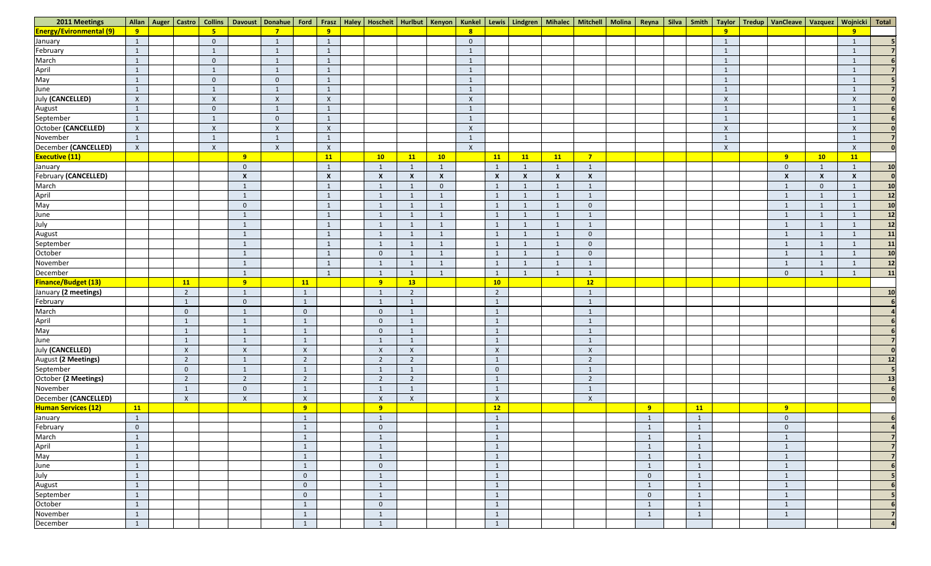| 2011 Meetings                                   |                | Allan   Auger   Castro | Collins                   |                  | Davoust   Donahue   Ford   Frasz |                  |                  |                          |                           |                  |                |                           |                           |                           |                           |                |           |                           | Haley   Hoscheit   Hurlbut   Kenyon   Kunkel   Lewis   Lindgren   Mihalec   Mitchell   Molina   Reyna   Silva   Smith   Taylor   Tredup   VanCleave   Vazquez   Wojnicki   Total |                  |                           |                 |
|-------------------------------------------------|----------------|------------------------|---------------------------|------------------|----------------------------------|------------------|------------------|--------------------------|---------------------------|------------------|----------------|---------------------------|---------------------------|---------------------------|---------------------------|----------------|-----------|---------------------------|----------------------------------------------------------------------------------------------------------------------------------------------------------------------------------|------------------|---------------------------|-----------------|
| <b>Energy/Evironmental (9)</b>                  | 9              |                        | $5\overline{)}$           |                  | $\overline{\phantom{a}}$         |                  | 9                |                          |                           |                  |                |                           |                           |                           |                           |                |           | $\overline{9}$            |                                                                                                                                                                                  |                  | $\overline{9}$            |                 |
| January                                         | $\mathbf{1}$   |                        | $\mathbf 0$               |                  | $\mathbf{1}$                     |                  | -1               |                          |                           |                  | $\overline{0}$ |                           |                           |                           |                           |                |           |                           |                                                                                                                                                                                  |                  |                           |                 |
| February                                        | $\mathbf{1}$   |                        |                           |                  |                                  |                  | $\mathbf{1}$     |                          |                           |                  |                |                           |                           |                           |                           |                |           |                           |                                                                                                                                                                                  |                  |                           |                 |
| March                                           |                |                        | $\overline{0}$            |                  |                                  |                  |                  |                          |                           |                  |                |                           |                           |                           |                           |                |           |                           |                                                                                                                                                                                  |                  |                           |                 |
|                                                 | $\mathbf{1}$   |                        |                           |                  |                                  |                  | $\mathbf{1}$     |                          |                           |                  |                |                           |                           |                           |                           |                |           |                           |                                                                                                                                                                                  |                  |                           |                 |
| April<br>May                                    | $\mathbf{1}$   |                        | $\overline{0}$            |                  | $\mathbf{0}$                     |                  | $\mathbf{1}$     |                          |                           |                  |                |                           |                           |                           |                           |                |           |                           |                                                                                                                                                                                  |                  |                           |                 |
| June                                            | $\mathbf{1}$   |                        |                           |                  |                                  |                  |                  |                          |                           |                  |                |                           |                           |                           |                           |                |           |                           |                                                                                                                                                                                  |                  |                           |                 |
| <b>July (CANCELLED)</b>                         | $\mathsf{X}$   |                        | $\boldsymbol{X}$          |                  | $\mathsf{X}$                     |                  | $\mathsf{X}$     |                          |                           |                  | $\mathsf{X}$   |                           |                           |                           |                           |                |           | $\boldsymbol{\mathsf{X}}$ |                                                                                                                                                                                  |                  | $\boldsymbol{\mathsf{X}}$ |                 |
| August                                          | $\mathbf{1}$   |                        | $\mathbf{0}$              |                  |                                  |                  |                  |                          |                           |                  |                |                           |                           |                           |                           |                |           |                           |                                                                                                                                                                                  |                  |                           |                 |
| September                                       | $\mathbf{1}$   |                        |                           |                  | $\overline{0}$                   |                  |                  |                          |                           |                  |                |                           |                           |                           |                           |                |           |                           |                                                                                                                                                                                  |                  |                           |                 |
| October (CANCELLED)                             | $\mathsf{X}$   |                        | $\boldsymbol{\mathsf{X}}$ |                  | $\boldsymbol{X}$                 |                  | $\mathsf{X}$     |                          |                           |                  | $\mathsf{X}$   |                           |                           |                           |                           |                |           | $\boldsymbol{\mathsf{X}}$ |                                                                                                                                                                                  |                  | $\mathsf{X}$              |                 |
| November                                        | 1              |                        |                           |                  |                                  |                  |                  |                          |                           |                  |                |                           |                           |                           |                           |                |           |                           |                                                                                                                                                                                  |                  |                           |                 |
| December (CANCELLED)                            | $\mathsf{X}$   |                        | $\boldsymbol{\mathsf{X}}$ |                  | $\boldsymbol{X}$                 |                  | $\mathsf{X}$     |                          |                           |                  | $\mathsf{X}$   |                           |                           |                           |                           |                |           | $\mathsf{X}$              |                                                                                                                                                                                  |                  | $\mathsf{X}$              |                 |
| <b>Executive (11)</b>                           |                |                        |                           | 9                |                                  |                  | <b>11</b>        | 10                       | 11                        | 10               |                | 11                        | 11                        | 11                        | $\overline{7}$            |                |           |                           | 9                                                                                                                                                                                | 10               | 11                        |                 |
| January                                         |                |                        |                           | $\overline{0}$   |                                  |                  |                  | $\overline{1}$           |                           | $\mathbf{1}$     |                | $\mathbf{1}$              |                           |                           | $\overline{1}$            |                |           |                           | $\overline{0}$                                                                                                                                                                   | $\mathbf{1}$     |                           | 10              |
| <b>February (CANCELLED)</b>                     |                |                        |                           | $\boldsymbol{X}$ |                                  |                  | $\boldsymbol{X}$ | $\boldsymbol{X}$         | $\boldsymbol{\mathsf{x}}$ | $\boldsymbol{X}$ |                | $\boldsymbol{\mathsf{X}}$ | $\boldsymbol{\mathsf{x}}$ | $\boldsymbol{\mathsf{x}}$ | $\boldsymbol{X}$          |                |           |                           | $\boldsymbol{\mathsf{x}}$                                                                                                                                                        | $\boldsymbol{X}$ | $\boldsymbol{\mathsf{X}}$ | $\Omega$        |
| March                                           |                |                        |                           | $\mathbf{1}$     |                                  |                  | -1               | $\overline{1}$           |                           | $\overline{0}$   |                | $\mathbf{1}$              |                           |                           | $\mathbf{1}$              |                |           |                           |                                                                                                                                                                                  | $\mathbf{0}$     |                           | 10              |
|                                                 |                |                        |                           | $\mathbf{1}$     |                                  |                  |                  |                          |                           |                  |                | $\mathbf{1}$              |                           |                           | $\mathbf{1}$              |                |           |                           |                                                                                                                                                                                  | $\mathbf{1}$     |                           | 12              |
| March<br>April<br>May<br>June<br>July<br>August |                |                        |                           | $\overline{0}$   |                                  |                  | -1               | $\overline{1}$           |                           | $\mathbf{1}$     |                | $\mathbf{1}$              |                           | $\overline{1}$            | $\overline{0}$            |                |           |                           | $\mathbf{1}$                                                                                                                                                                     | $\mathbf{1}$     |                           | 10              |
|                                                 |                |                        |                           | -1               |                                  |                  |                  |                          |                           |                  |                | 1                         |                           |                           | $\mathbf{1}$              |                |           |                           |                                                                                                                                                                                  | $\mathbf{1}$     |                           | 12              |
|                                                 |                |                        |                           | $\mathbf{1}$     |                                  |                  |                  | $\overline{1}$           |                           | $\mathbf{1}$     |                | $\mathbf{1}$              |                           |                           | $\mathbf{1}$              |                |           |                           |                                                                                                                                                                                  | $\mathbf{1}$     |                           | 12              |
|                                                 |                |                        |                           | $\mathbf{1}$     |                                  |                  | -1               | $\mathbf{1}$             | -1                        | $\mathbf{1}$     |                | $\mathbf{1}$              |                           | $\blacksquare$            | $\overline{0}$            |                |           |                           | $\mathbf{1}$                                                                                                                                                                     | $\mathbf{1}$     |                           | 11              |
| September                                       |                |                        |                           | $\mathbf{1}$     |                                  |                  | -1               | $\overline{1}$           |                           | $\mathbf{1}$     |                | $\mathbf{1}$              |                           | $\overline{1}$            | $\overline{0}$            |                |           |                           | $\mathbf{1}$                                                                                                                                                                     | $\mathbf{1}$     |                           | $\overline{11}$ |
| October                                         |                |                        |                           | $\mathbf{1}$     |                                  |                  |                  | $\overline{0}$           |                           | $\mathbf{1}$     |                | $\mathbf{1}$              |                           |                           | $\overline{0}$            |                |           |                           |                                                                                                                                                                                  | $\mathbf{1}$     |                           | 10              |
| November                                        |                |                        |                           | $\mathbf{1}$     |                                  |                  | $\mathbf{1}$     | $\overline{1}$           | $\mathbf{1}$              | $\mathbf{1}$     |                | $\mathbf{1}$              | $\mathbf{1}$              | 1                         | $\mathbf{1}$              |                |           |                           | $\mathbf{1}$                                                                                                                                                                     | $\mathbf{1}$     | $\mathbf{1}$              | $\overline{12}$ |
| December                                        |                |                        |                           | $\mathbf{1}$     |                                  |                  |                  | $\overline{\phantom{0}}$ |                           | $\mathbf{1}$     |                | $\mathbf{1}$              |                           | $\overline{1}$            | $\mathbf{1}$              |                |           |                           | $\mathbf 0$                                                                                                                                                                      | $\mathbf{1}$     |                           | 11              |
| <b>Finance/Budget (13)</b>                      |                | <b>11</b>              |                           | 9 <sup>°</sup>   |                                  | <b>11</b>        |                  | 9 <sup>°</sup>           | <b>13</b>                 |                  |                | 10                        |                           |                           | 12                        |                |           |                           |                                                                                                                                                                                  |                  |                           |                 |
| January (2 meetings)                            |                | $\overline{2}$         |                           | $\mathbf{1}$     |                                  | $\mathbf{1}$     |                  | -1                       | $\overline{2}$            |                  |                | $\overline{2}$            |                           |                           | $\mathbf{1}$              |                |           |                           |                                                                                                                                                                                  |                  |                           | 10              |
| February                                        |                | $\mathbf{1}$           |                           | $\mathbf{0}$     |                                  | $\mathbf{1}$     |                  |                          |                           |                  |                | $\mathbf{1}$              |                           |                           | $\mathbf{1}$              |                |           |                           |                                                                                                                                                                                  |                  |                           |                 |
| March                                           |                | $\overline{0}$         |                           | $\mathbf{1}$     |                                  | $\overline{0}$   |                  | $\overline{0}$           | -1                        |                  |                | $\mathbf{1}$              |                           |                           | $\overline{1}$            |                |           |                           |                                                                                                                                                                                  |                  |                           |                 |
|                                                 |                | $\mathbf{1}$           |                           | $\mathbf{1}$     |                                  | $\mathbf{1}$     |                  | $\overline{0}$           | 1                         |                  |                | $\mathbf{1}$              |                           |                           | $\mathbf{1}$              |                |           |                           |                                                                                                                                                                                  |                  |                           |                 |
| April<br>May                                    |                | $\mathbf{1}$           |                           | $\mathbf{1}$     |                                  | $\mathbf{1}$     |                  | $\overline{0}$           |                           |                  |                | $\mathbf{1}$              |                           |                           | $\mathbf{1}$              |                |           |                           |                                                                                                                                                                                  |                  |                           |                 |
| June                                            |                | $\mathbf{1}$           |                           | $\mathbf{1}$     |                                  | $\mathbf{1}$     |                  | 1                        | $\mathbf{1}$              |                  |                | $\mathbf{1}$              |                           |                           | $\mathbf{1}$              |                |           |                           |                                                                                                                                                                                  |                  |                           |                 |
| <b>July (CANCELLED)</b>                         |                | $\mathsf{X}$           |                           | $\mathsf X$      |                                  | $\mathsf X$      |                  | $\mathsf X$              | $\mathsf{X}$              |                  |                | $\mathsf X$               |                           |                           | $\boldsymbol{\mathsf{X}}$ |                |           |                           |                                                                                                                                                                                  |                  |                           | $\mathbf{0}$    |
| August (2 Meetings)                             |                | $\overline{2}$         |                           | $\mathbf{1}$     |                                  | $\overline{2}$   |                  | $\overline{2}$           | $\overline{2}$            |                  |                | $\mathbf{1}$              |                           |                           | $\overline{2}$            |                |           |                           |                                                                                                                                                                                  |                  |                           | 12              |
| September                                       |                | $\overline{0}$         |                           | $\mathbf{1}$     |                                  | $\mathbf{1}$     |                  | $\overline{1}$           | $\mathbf{1}$              |                  |                | $\overline{0}$            |                           |                           | $\mathbf{1}$              |                |           |                           |                                                                                                                                                                                  |                  |                           | 5 <sub>l</sub>  |
| October (2 Meetings)                            |                | $\overline{2}$         |                           | $\overline{2}$   |                                  | $\overline{2}$   |                  | $\overline{2}$           | $\overline{2}$            |                  |                | $\mathbf{1}$              |                           |                           | $\overline{2}$            |                |           |                           |                                                                                                                                                                                  |                  |                           | 13              |
| November                                        |                | $\mathbf{1}$           |                           | $\overline{0}$   |                                  | $\mathbf{1}$     |                  | $\mathbf{1}$             |                           |                  |                | $\mathbf{1}$              |                           |                           | $\mathbf{1}$              |                |           |                           |                                                                                                                                                                                  |                  |                           | 6 <sup>1</sup>  |
| December (CANCELLED)                            |                | $\mathsf{X}$           |                           | $\mathsf{X}$     |                                  | $\mathsf{X}$     |                  | $\mathsf{X}$             | $\mathsf{X}$              |                  |                | $\mathsf{X}$              |                           |                           | $\mathsf{X}$              |                |           |                           |                                                                                                                                                                                  |                  |                           | $\overline{0}$  |
| <b>Human Services (12)</b>                      | 11             |                        |                           |                  |                                  | 9                |                  | 9                        |                           |                  |                | 12                        |                           |                           |                           | 9              | <b>11</b> |                           | 9                                                                                                                                                                                |                  |                           |                 |
| January                                         | $\mathbf{1}$   |                        |                           |                  |                                  | $\mathbf{1}$     |                  | $\mathbf{1}$             |                           |                  |                | $\mathbf{1}$              |                           |                           |                           | $\mathbf{1}$   |           |                           | $\overline{0}$                                                                                                                                                                   |                  |                           |                 |
| February                                        | $\overline{0}$ |                        |                           |                  |                                  | $\mathbf{1}$     |                  | $\overline{0}$           |                           |                  |                | $\mathbf{1}$              |                           |                           |                           |                |           |                           | $\boldsymbol{0}$                                                                                                                                                                 |                  |                           |                 |
| March                                           | $\mathbf{1}$   |                        |                           |                  |                                  | $\mathbf{1}$     |                  | $\mathbf{1}$             |                           |                  |                | $\mathbf{1}$              |                           |                           |                           |                |           |                           |                                                                                                                                                                                  |                  |                           |                 |
|                                                 | $\mathbf{1}$   |                        |                           |                  |                                  | $\mathbf{1}$     |                  | $\mathbf{1}$             |                           |                  |                | $\mathbf{1}$              |                           |                           |                           |                |           |                           |                                                                                                                                                                                  |                  |                           |                 |
| April<br>May                                    | $\mathbf{1}$   |                        |                           |                  |                                  | $\mathbf{1}$     |                  | $\overline{1}$           |                           |                  |                | $\mathbf{1}$              |                           |                           |                           | $\overline{1}$ |           |                           |                                                                                                                                                                                  |                  |                           | $\overline{7}$  |
| <b>June</b>                                     |                |                        |                           |                  |                                  | $\mathbf{1}$     |                  | $\overline{0}$           |                           |                  |                | $\mathbf{1}$              |                           |                           |                           |                |           |                           |                                                                                                                                                                                  |                  |                           |                 |
| July                                            | $\mathbf{1}$   |                        |                           |                  |                                  | $\mathbf{0}$     |                  | $\overline{1}$           |                           |                  |                | $\mathbf{1}$              |                           |                           |                           | $\overline{0}$ |           |                           |                                                                                                                                                                                  |                  |                           |                 |
|                                                 |                |                        |                           |                  |                                  | $\boldsymbol{0}$ |                  |                          |                           |                  |                | $\mathbf{1}$              |                           |                           |                           |                |           |                           |                                                                                                                                                                                  |                  |                           |                 |
| August<br>September                             |                |                        |                           |                  |                                  | $\mathbf 0$      |                  | $\mathbf{1}$             |                           |                  |                | $\mathbf{1}$              |                           |                           |                           | $\overline{0}$ |           |                           |                                                                                                                                                                                  |                  |                           |                 |
| October                                         | $\mathbf{1}$   |                        |                           |                  |                                  | $\mathbf{1}$     |                  | $\overline{0}$           |                           |                  |                | $\mathbf{1}$              |                           |                           |                           |                |           |                           | $\mathbf{1}$                                                                                                                                                                     |                  |                           |                 |
| November                                        |                |                        |                           |                  |                                  |                  |                  |                          |                           |                  |                | $\mathbf{1}$              |                           |                           |                           |                |           |                           |                                                                                                                                                                                  |                  |                           | $\overline{7}$  |
| December                                        | $\mathbf{1}$   |                        |                           |                  |                                  | $\mathbf{1}$     |                  | $\mathbf{1}$             |                           |                  |                | $\mathbf{1}$              |                           |                           |                           |                |           |                           |                                                                                                                                                                                  |                  |                           | $\mathbf{a}$    |
|                                                 |                |                        |                           |                  |                                  |                  |                  |                          |                           |                  |                |                           |                           |                           |                           |                |           |                           |                                                                                                                                                                                  |                  |                           |                 |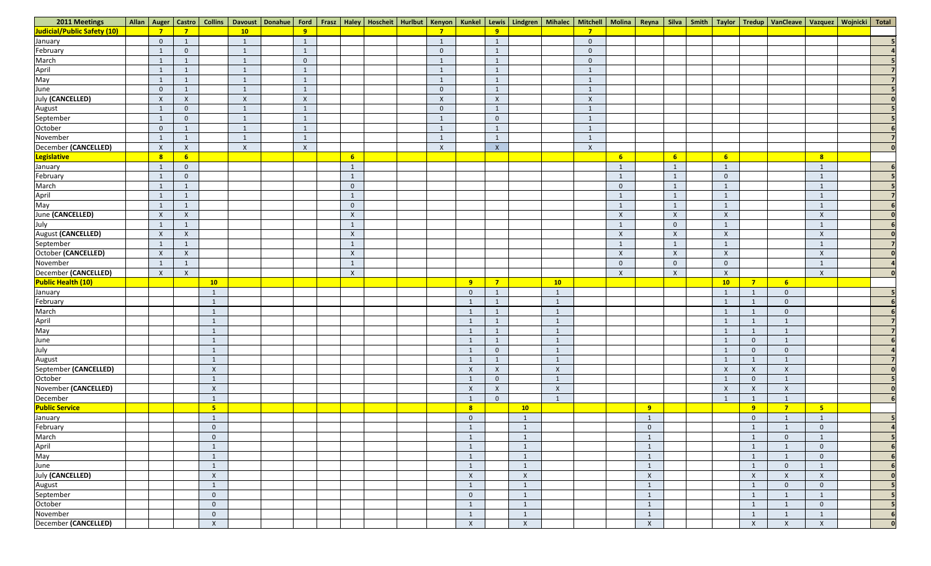| 2011 Meetings                              |                |                           | Allan   Auger   Castro   Collins |              |              |                           |  |                |                           |                           |                         |                  |                           |                |                  |                |                           |                  |                           | Davoust Donahue   Ford   Frasz   Haley   Hoscheit   Hurlbut   Kenyon   Kunkel   Lewis   Lindgren   Mihalec   Mitchell   Molina   Reyna   Silva   Smith   Taylor   Tredup   VanCleave   Vazquez   Wojnicki   Total |                  |
|--------------------------------------------|----------------|---------------------------|----------------------------------|--------------|--------------|---------------------------|--|----------------|---------------------------|---------------------------|-------------------------|------------------|---------------------------|----------------|------------------|----------------|---------------------------|------------------|---------------------------|-------------------------------------------------------------------------------------------------------------------------------------------------------------------------------------------------------------------|------------------|
| Judicial/Public Safety (10)                |                | $\overline{7}$            |                                  | 10           | 9            |                           |  |                |                           |                           |                         |                  |                           |                |                  |                |                           |                  |                           |                                                                                                                                                                                                                   |                  |
| January                                    | $\overline{0}$ | $\mathbf{1}$              |                                  | $\mathbf{1}$ | $\mathbf{1}$ |                           |  | 1              |                           | $\mathbf{1}$              |                         |                  | $\overline{0}$            |                |                  |                |                           |                  |                           |                                                                                                                                                                                                                   |                  |
| February<br>March                          | $\overline{1}$ | $\overline{0}$            |                                  | $\mathbf{1}$ | $\mathbf{1}$ |                           |  | $\overline{0}$ |                           | $\mathbf{1}$              |                         |                  | $\overline{0}$            |                |                  |                |                           |                  |                           |                                                                                                                                                                                                                   |                  |
|                                            |                |                           |                                  | $\mathbf{1}$ | $\mathbf{0}$ |                           |  |                |                           | $\mathbf{1}$              |                         |                  | $\overline{0}$            |                |                  |                |                           |                  |                           |                                                                                                                                                                                                                   |                  |
|                                            | -1             | $\mathbf{1}$              |                                  | $\mathbf{1}$ | $\mathbf{1}$ |                           |  | 1              |                           | $\mathbf{1}$              |                         |                  | $\mathbf{1}$              |                |                  |                |                           |                  |                           |                                                                                                                                                                                                                   |                  |
| April<br>May                               |                | $\mathbf{1}$              |                                  | $\mathbf{1}$ | $\mathbf{1}$ |                           |  | $\mathbf 1$    |                           | $\mathbf{1}$              |                         |                  | $\mathbf{1}$              |                |                  |                |                           |                  |                           |                                                                                                                                                                                                                   |                  |
|                                            | $\mathbf{0}$   | 1                         |                                  | $\mathbf{1}$ | $\mathbf{1}$ |                           |  | $\overline{0}$ |                           | $\mathbf{1}$              |                         |                  | $\mathbf{1}$              |                |                  |                |                           |                  |                           |                                                                                                                                                                                                                   |                  |
| June<br>July (CANCELLED)                   | $\mathsf{X}$   | $\boldsymbol{\mathsf{X}}$ |                                  | $\mathsf{X}$ | $\mathsf{X}$ |                           |  | $\mathsf{X}$   |                           | $\mathsf{X}$              |                         |                  | $\boldsymbol{X}$          |                |                  |                |                           |                  |                           |                                                                                                                                                                                                                   |                  |
|                                            | $\mathbf{1}$   | $\overline{0}$            |                                  | $\mathbf{1}$ | $\mathbf{1}$ |                           |  | $\overline{0}$ |                           | $\mathbf{1}$              |                         |                  | $\mathbf{1}$              |                |                  |                |                           |                  |                           |                                                                                                                                                                                                                   |                  |
| August<br>September                        |                | $\overline{0}$            |                                  | $\mathbf{1}$ | $\mathbf{1}$ |                           |  | $\mathbf{1}$   |                           | $\overline{0}$            |                         |                  | $\mathbf{1}$              |                |                  |                |                           |                  |                           |                                                                                                                                                                                                                   |                  |
| October                                    | $\mathbf{0}$   | $\mathbf{1}$              |                                  | $\mathbf{1}$ | $\mathbf{1}$ |                           |  | $\mathbf{1}$   |                           | $\mathbf{1}$              |                         |                  | $\mathbf{1}$              |                |                  |                |                           |                  |                           |                                                                                                                                                                                                                   |                  |
| November                                   |                | $\mathbf{1}$              |                                  | $\mathbf{1}$ | $\mathbf{1}$ |                           |  | $\mathbf{1}$   |                           | $\mathbf{1}$              |                         |                  | $\mathbf{1}$              |                |                  |                |                           |                  |                           |                                                                                                                                                                                                                   |                  |
| December (CANCELLED)                       | $\mathsf{X}$   | $\mathsf{X}$              |                                  | $\mathsf X$  | $\mathsf{X}$ |                           |  | $\mathsf{X}$   |                           | $\boldsymbol{\mathsf{X}}$ |                         |                  | $\boldsymbol{\mathsf{X}}$ |                |                  |                |                           |                  |                           |                                                                                                                                                                                                                   |                  |
| <b>Legislative</b>                         | 8 <sup>2</sup> | 6 <sup>1</sup>            |                                  |              |              | $6 \n$                    |  |                |                           |                           |                         |                  |                           | 6 <sup>1</sup> |                  | 6 <sup>1</sup> | 6 <sup>1</sup>            |                  |                           | 8                                                                                                                                                                                                                 |                  |
| January                                    | -1             | $\overline{0}$            |                                  |              |              |                           |  |                |                           |                           |                         |                  |                           |                |                  |                |                           |                  |                           | $\mathbf{1}$                                                                                                                                                                                                      |                  |
| February                                   | $\mathbf{1}$   | $\overline{0}$            |                                  |              |              |                           |  |                |                           |                           |                         |                  |                           |                |                  | 1              | $\overline{0}$            |                  |                           | $\mathbf{1}$                                                                                                                                                                                                      |                  |
| March                                      | $\mathbf{1}$   | $\mathbf{1}$              |                                  |              |              | $\overline{0}$            |  |                |                           |                           |                         |                  |                           | $\Omega$       |                  | 1              |                           |                  |                           | $\mathbf{1}$                                                                                                                                                                                                      |                  |
| April                                      | -1             | $\mathbf{1}$              |                                  |              |              |                           |  |                |                           |                           |                         |                  |                           |                |                  | 1              |                           |                  |                           | $\mathbf{1}$                                                                                                                                                                                                      |                  |
|                                            | $\mathbf{1}$   | $\mathbf{1}$              |                                  |              |              | $\mathbf{0}$              |  |                |                           |                           |                         |                  |                           |                |                  | $\mathbf{1}$   |                           |                  |                           | $\mathbf{1}$                                                                                                                                                                                                      |                  |
| May<br>June (CANCELLED)                    | $\mathsf{X}$   | $\boldsymbol{\mathsf{X}}$ |                                  |              |              | $\boldsymbol{\mathsf{X}}$ |  |                |                           |                           |                         |                  |                           | X              |                  | $\mathsf{X}$   | $\boldsymbol{\mathsf{X}}$ |                  |                           | $\mathsf X$                                                                                                                                                                                                       |                  |
|                                            | -1             | $\mathbf{1}$              |                                  |              |              |                           |  |                |                           |                           |                         |                  |                           |                |                  | $\overline{0}$ |                           |                  |                           | $\mathbf{1}$                                                                                                                                                                                                      |                  |
| July<br>August (CANCELLED)                 | $\mathsf{X}$   | $\mathsf{X}$              |                                  |              |              | $\mathsf{X}$              |  |                |                           |                           |                         |                  |                           | X              |                  | $\mathsf{X}$   | $\mathsf{X}$              |                  |                           | $\mathsf{X}$                                                                                                                                                                                                      |                  |
| September                                  | $\mathbf{1}$   | $\mathbf{1}$              |                                  |              |              |                           |  |                |                           |                           |                         |                  |                           |                |                  | $\mathbf{1}$   |                           |                  |                           | $\mathbf{1}$                                                                                                                                                                                                      |                  |
| October (CANCELLED)                        | $\mathsf{X}$   | $\mathsf{X}$              |                                  |              |              | $\mathsf{X}$              |  |                |                           |                           |                         |                  |                           | $\mathsf{X}$   |                  | $\mathsf{X}$   | $\boldsymbol{\mathsf{X}}$ |                  |                           | $\mathsf X$                                                                                                                                                                                                       |                  |
| November                                   | $\mathbf{1}$   | $\mathbf{1}$              |                                  |              |              |                           |  |                |                           |                           |                         |                  |                           | $\Omega$       |                  | $\overline{0}$ | $\overline{0}$            |                  |                           | $\mathbf{1}$                                                                                                                                                                                                      |                  |
| December (CANCELLED)                       | $\mathsf{X}$   | $\mathsf{X}$              |                                  |              |              | $\mathsf{X}$              |  |                |                           |                           |                         |                  |                           | $\mathsf{X}$   |                  | $\mathsf{X}$   | $\mathsf{X}$              |                  |                           | $\mathsf{X}$                                                                                                                                                                                                      |                  |
| <b>Public Health (10)</b>                  |                |                           | 10                               |              |              |                           |  |                | 9                         | 7 <sup>7</sup>            |                         | 10               |                           |                |                  |                | 10                        | $\overline{7}$   | 6 <sup>1</sup>            |                                                                                                                                                                                                                   |                  |
| January                                    |                |                           |                                  |              |              |                           |  |                | $\overline{0}$            | $\mathbf{1}$              |                         |                  |                           |                |                  |                |                           |                  | $\mathbf 0$               |                                                                                                                                                                                                                   |                  |
| February                                   |                |                           |                                  |              |              |                           |  |                |                           | $\mathbf{1}$              |                         |                  |                           |                |                  |                |                           |                  | $\mathbf 0$               |                                                                                                                                                                                                                   |                  |
|                                            |                |                           |                                  |              |              |                           |  |                |                           | $\mathbf{1}$              |                         |                  |                           |                |                  |                |                           |                  | $\mathbf 0$               |                                                                                                                                                                                                                   |                  |
| March<br>April<br>May                      |                |                           |                                  |              |              |                           |  |                |                           | $\mathbf{1}$              |                         |                  |                           |                |                  |                |                           |                  |                           |                                                                                                                                                                                                                   | $\overline{7}$   |
|                                            |                |                           |                                  |              |              |                           |  |                |                           | $\mathbf{1}$              |                         |                  |                           |                |                  |                |                           |                  |                           |                                                                                                                                                                                                                   | $\overline{7}$   |
|                                            |                |                           |                                  |              |              |                           |  |                |                           | $\mathbf{1}$              |                         | 1                |                           |                |                  |                |                           | $\overline{0}$   | $\mathbf{1}$              |                                                                                                                                                                                                                   |                  |
| June<br>July                               |                |                           |                                  |              |              |                           |  |                |                           | $\overline{0}$            |                         |                  |                           |                |                  |                |                           | $\overline{0}$   | $\mathbf 0$               |                                                                                                                                                                                                                   |                  |
|                                            |                |                           |                                  |              |              |                           |  |                |                           | $\mathbf{1}$              |                         |                  |                           |                |                  |                |                           |                  |                           |                                                                                                                                                                                                                   | $\overline{7}$   |
| August<br>September (CANCELLED)<br>October |                |                           | $\boldsymbol{X}$                 |              |              |                           |  |                | $\mathsf{X}$              | $\mathsf{X}$              |                         | $\boldsymbol{X}$ |                           |                |                  |                | $\mathsf{X}$              | $\boldsymbol{X}$ | $\lambda$                 |                                                                                                                                                                                                                   | $\mathbf{0}$     |
|                                            |                |                           |                                  |              |              |                           |  |                |                           | $\overline{0}$            |                         |                  |                           |                |                  |                |                           | $\overline{0}$   |                           |                                                                                                                                                                                                                   | 5 <sub>1</sub>   |
| November (CANCELLED)                       |                |                           | $\boldsymbol{\mathsf{X}}$        |              |              |                           |  |                | $\boldsymbol{\mathsf{X}}$ | $\mathsf{X}$              |                         | $\pmb{\times}$   |                           |                |                  |                | $\boldsymbol{\mathsf{X}}$ | $\pmb{\chi}$     | $\boldsymbol{\mathsf{X}}$ |                                                                                                                                                                                                                   | $\mathbf{0}$     |
| December                                   |                |                           |                                  |              |              |                           |  |                |                           | $\overline{0}$            |                         | 1                |                           |                |                  |                |                           |                  |                           |                                                                                                                                                                                                                   | 6 <sup>1</sup>   |
| <b>Public Service</b>                      |                |                           | 5                                |              |              |                           |  |                | 8                         |                           | 10                      |                  |                           |                | 9                |                |                           | 9                | $\overline{7}$            | 5 <sub>5</sub>                                                                                                                                                                                                    |                  |
| January                                    |                |                           |                                  |              |              |                           |  |                | $\overline{0}$            |                           | $\overline{1}$          |                  |                           |                | $\overline{1}$   |                |                           | $\overline{0}$   | $\mathbf 1$               | $\mathbf{1}$                                                                                                                                                                                                      | 5                |
| February                                   |                |                           | $\mathbf{0}$                     |              |              |                           |  |                |                           |                           | $\mathbf{1}$            |                  |                           |                | $\overline{0}$   |                |                           | $\mathbf{1}$     | $\mathbf{1}$              | $\overline{0}$                                                                                                                                                                                                    | $\boldsymbol{a}$ |
| March                                      |                |                           | $\overline{0}$                   |              |              |                           |  |                |                           |                           | -1                      |                  |                           |                |                  |                |                           |                  | $\mathbf 0$               | $\mathbf{1}$                                                                                                                                                                                                      | 5                |
| April<br>May                               |                |                           |                                  |              |              |                           |  |                |                           |                           | $\mathbf{1}$            |                  |                           |                | $\mathbf{1}$     |                |                           | $\mathbf{1}$     |                           | $\overline{0}$                                                                                                                                                                                                    |                  |
|                                            |                |                           |                                  |              |              |                           |  |                |                           |                           | $\overline{1}$          |                  |                           |                | $\overline{1}$   |                |                           | $\mathbf{1}$     | $\mathbf{1}$              | $\overline{0}$                                                                                                                                                                                                    | 6 <sup>1</sup>   |
| June<br>July (CANCELLED)                   |                |                           |                                  |              |              |                           |  |                |                           |                           | $\overline{1}$          |                  |                           |                | $\mathbf{1}$     |                |                           | $\overline{1}$   | $\overline{0}$            | $\mathbf{1}$                                                                                                                                                                                                      | 6 <sub>1</sub>   |
|                                            |                |                           | $\boldsymbol{\mathsf{X}}$        |              |              |                           |  |                | $\boldsymbol{\mathsf{X}}$ |                           | $\mathsf{X}$            |                  |                           |                | $\boldsymbol{X}$ |                |                           | $\mathsf{X}$     | $\boldsymbol{\mathsf{X}}$ | $\mathsf{X}$                                                                                                                                                                                                      | 0                |
| August<br>September                        |                |                           |                                  |              |              |                           |  |                |                           |                           | $\overline{1}$          |                  |                           |                |                  |                |                           | $\mathbf{1}$     | $\overline{0}$            | $\overline{0}$                                                                                                                                                                                                    |                  |
|                                            |                |                           | $\overline{0}$                   |              |              |                           |  |                | $\overline{0}$            |                           | $\overline{\mathbf{1}}$ |                  |                           |                | $\overline{1}$   |                |                           | $\overline{1}$   | $\mathbf{1}$              | $\mathbf{1}$                                                                                                                                                                                                      |                  |
| October                                    |                |                           | $\overline{0}$                   |              |              |                           |  |                | $\mathbf{1}$              |                           | $\overline{1}$          |                  |                           |                | $\mathbf{1}$     |                |                           | $\mathbf{1}$     | $\mathbf{1}$              | $\overline{0}$                                                                                                                                                                                                    | 5                |
| November                                   |                |                           | $\Omega$                         |              |              |                           |  |                |                           |                           |                         |                  |                           |                | $\mathbf{1}$     |                |                           | $\mathbf{1}$     |                           | $\mathbf{1}$                                                                                                                                                                                                      | 6 <sup>1</sup>   |
| December (CANCELLED)                       |                |                           | $\boldsymbol{X}$                 |              |              |                           |  |                | $\mathsf{X}$              |                           | $\boldsymbol{X}$        |                  |                           |                | $\mathsf{X}$     |                |                           | $\boldsymbol{X}$ | X                         | $\boldsymbol{\mathsf{X}}$                                                                                                                                                                                         | $\mathbf{0}$     |